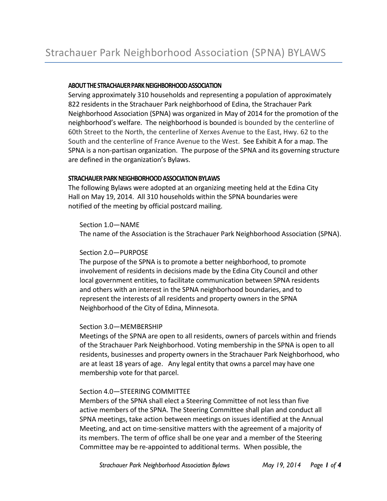# **ABOUT THE STRACHAUER PARK NEIGHBORHOOD ASSOCIATION**

Serving approximately 310 households and representing a population of approximately 822 residents in the Strachauer Park neighborhood of Edina, the Strachauer Park Neighborhood Association (SPNA) was organized in May of 2014 for the promotion of the neighborhood's welfare. The neighborhood is bounded is bounded by the centerline of 60th Street to the North, the centerline of Xerxes Avenue to the East, Hwy. 62 to the South and the centerline of France Avenue to the West. See Exhibit A for a map. The SPNA is a non-partisan organization. The purpose of the SPNA and its governing structure are defined in the organization's Bylaws.

## **STRACHAUER PARK NEIGHBORHOOD ASSOCIATION BYLAWS**

The following Bylaws were adopted at an organizing meeting held at the Edina City Hall on May 19, 2014. All 310 households within the SPNA boundaries were notified of the meeting by official postcard mailing.

Section 1.0—NAME

The name of the Association is the Strachauer Park Neighborhood Association (SPNA).

# Section 2.0—PURPOSE

The purpose of the SPNA is to promote a better neighborhood, to promote involvement of residents in decisions made by the Edina City Council and other local government entities, to facilitate communication between SPNA residents and others with an interest in the SPNA neighborhood boundaries, and to represent the interests of all residents and property owners in the SPNA Neighborhood of the City of Edina, Minnesota.

# Section 3.0—MEMBERSHIP

Meetings of the SPNA are open to all residents, owners of parcels within and friends of the Strachauer Park Neighborhood. Voting membership in the SPNA is open to all residents, businesses and property owners in the Strachauer Park Neighborhood, who are at least 18 years of age. Any legal entity that owns a parcel may have one membership vote for that parcel.

# Section 4.0—STEERING COMMITTEE

Members of the SPNA shall elect a Steering Committee of not less than five active members of the SPNA. The Steering Committee shall plan and conduct all SPNA meetings, take action between meetings on issues identified at the Annual Meeting, and act on time-sensitive matters with the agreement of a majority of its members. The term of office shall be one year and a member of the Steering Committee may be re-appointed to additional terms. When possible, the

*Strachauer Park Neighborhood Association Bylaws May 19, 2014 Page 1 of 4*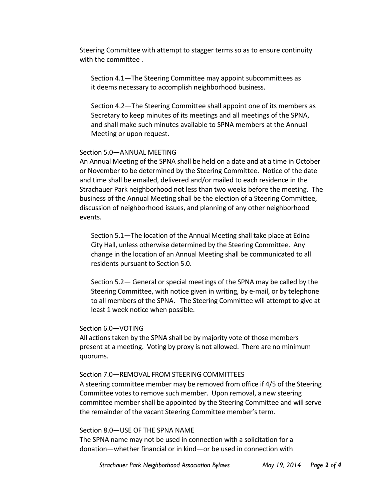Steering Committee with attempt to stagger terms so as to ensure continuity with the committee .

Section 4.1—The Steering Committee may appoint subcommittees as it deems necessary to accomplish neighborhood business.

Section 4.2—The Steering Committee shall appoint one of its members as Secretary to keep minutes of its meetings and all meetings of the SPNA, and shall make such minutes available to SPNA members at the Annual Meeting or upon request.

## Section 5.0—ANNUAL MEETING

An Annual Meeting of the SPNA shall be held on a date and at a time in October or November to be determined by the Steering Committee. Notice of the date and time shall be emailed, delivered and/or mailed to each residence in the Strachauer Park neighborhood not less than two weeks before the meeting. The business of the Annual Meeting shall be the election of a Steering Committee, discussion of neighborhood issues, and planning of any other neighborhood events.

Section 5.1—The location of the Annual Meeting shall take place at Edina City Hall, unless otherwise determined by the Steering Committee. Any change in the location of an Annual Meeting shall be communicated to all residents pursuant to Section 5.0.

Section 5.2— General or special meetings of the SPNA may be called by the Steering Committee, with notice given in writing, by e-mail, or by telephone to all members of the SPNA. The Steering Committee will attempt to give at least 1 week notice when possible.

## Section 6.0—VOTING

All actions taken by the SPNA shall be by majority vote of those members present at a meeting. Voting by proxy is not allowed. There are no minimum quorums.

## Section 7.0—REMOVAL FROM STEERING COMMITTEES

A steering committee member may be removed from office if 4/5 of the Steering Committee votes to remove such member. Upon removal, a new steering committee member shall be appointed by the Steering Committee and will serve the remainder of the vacant Steering Committee member's term.

## Section 8.0—USE OF THE SPNA NAME

The SPNA name may not be used in connection with a solicitation for a donation—whether financial or in kind—or be used in connection with

*Strachauer Park Neighborhood Association Bylaws May 19, 2014 Page 2 of 4*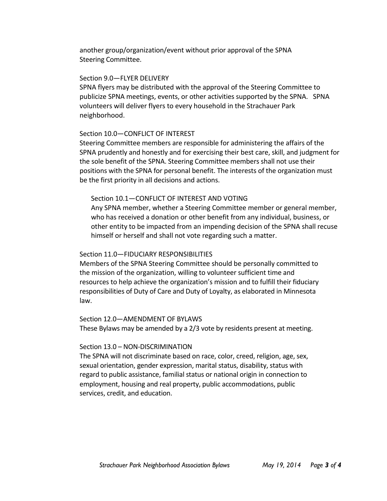another group/organization/event without prior approval of the SPNA Steering Committee.

#### Section 9.0—FLYER DELIVERY

SPNA flyers may be distributed with the approval of the Steering Committee to publicize SPNA meetings, events, or other activities supported by the SPNA. SPNA volunteers will deliver flyers to every household in the Strachauer Park neighborhood.

#### Section 10.0—CONFLICT OF INTEREST

Steering Committee members are responsible for administering the affairs of the SPNA prudently and honestly and for exercising their best care, skill, and judgment for the sole benefit of the SPNA. Steering Committee members shall not use their positions with the SPNA for personal benefit. The interests of the organization must be the first priority in all decisions and actions.

## Section 10.1—CONFLICT OF INTEREST AND VOTING

Any SPNA member, whether a Steering Committee member or general member, who has received a donation or other benefit from any individual, business, or other entity to be impacted from an impending decision of the SPNA shall recuse himself or herself and shall not vote regarding such a matter.

## Section 11.0—FIDUCIARY RESPONSIBILITIES

Members of the SPNA Steering Committee should be personally committed to the mission of the organization, willing to volunteer sufficient time and resources to help achieve the organization's mission and to fulfill their fiduciary responsibilities of Duty of Care and Duty of Loyalty, as elaborated in Minnesota law.

#### Section 12.0—AMENDMENT OF BYLAWS

These Bylaws may be amended by a 2/3 vote by residents present at meeting.

#### Section 13.0 – NON-DISCRIMINATION

The SPNA will not discriminate based on race, color, creed, religion, age, sex, sexual orientation, gender expression, marital status, disability, status with regard to public assistance, familial status or national origin in connection to employment, housing and real property, public accommodations, public services, credit, and education.